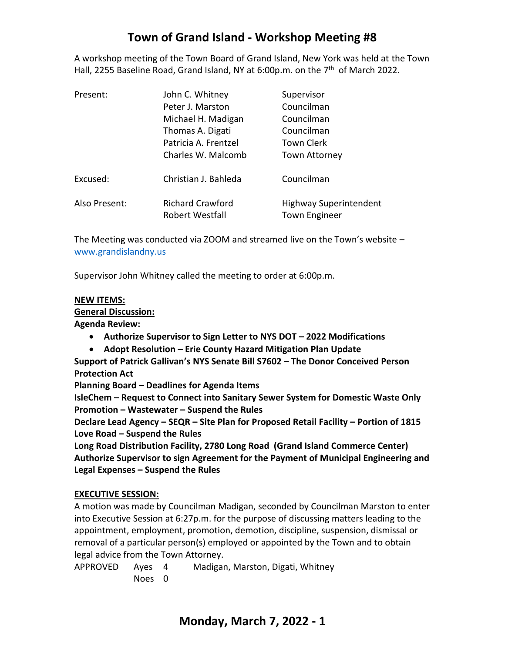# **Town of Grand Island - Workshop Meeting #8**

A workshop meeting of the Town Board of Grand Island, New York was held at the Town Hall, 2255 Baseline Road, Grand Island, NY at 6:00p.m. on the 7<sup>th</sup> of March 2022.

| Present:      | John C. Whitney                            | Supervisor                                            |
|---------------|--------------------------------------------|-------------------------------------------------------|
|               | Peter J. Marston                           | Councilman                                            |
|               | Michael H. Madigan                         | Councilman                                            |
|               | Thomas A. Digati                           | Councilman                                            |
|               | Patricia A. Frentzel                       | <b>Town Clerk</b>                                     |
|               | Charles W. Malcomb                         | <b>Town Attorney</b>                                  |
| Excused:      | Christian J. Bahleda                       | Councilman                                            |
| Also Present: | <b>Richard Crawford</b><br>Robert Westfall | <b>Highway Superintendent</b><br><b>Town Engineer</b> |

The Meeting was conducted via ZOOM and streamed live on the Town's website – [www.grandislandny.us](http://www.grandislandny.us/)

Supervisor John Whitney called the meeting to order at 6:00p.m.

#### **NEW ITEMS:**

**General Discussion:**

**Agenda Review:**

- **Authorize Supervisor to Sign Letter to NYS DOT – 2022 Modifications**
- **Adopt Resolution – Erie County Hazard Mitigation Plan Update**

**Support of Patrick Gallivan's NYS Senate Bill S7602 – The Donor Conceived Person Protection Act**

**Planning Board – Deadlines for Agenda Items**

**IsleChem – Request to Connect into Sanitary Sewer System for Domestic Waste Only Promotion – Wastewater – Suspend the Rules**

**Declare Lead Agency – SEQR – Site Plan for Proposed Retail Facility – Portion of 1815 Love Road – Suspend the Rules** 

**Long Road Distribution Facility, 2780 Long Road (Grand Island Commerce Center) Authorize Supervisor to sign Agreement for the Payment of Municipal Engineering and Legal Expenses – Suspend the Rules**

### **EXECUTIVE SESSION:**

A motion was made by Councilman Madigan, seconded by Councilman Marston to enter into Executive Session at 6:27p.m. for the purpose of discussing matters leading to the appointment, employment, promotion, demotion, discipline, suspension, dismissal or removal of a particular person(s) employed or appointed by the Town and to obtain legal advice from the Town Attorney.

APPROVED Ayes 4 Madigan, Marston, Digati, Whitney Noes 0